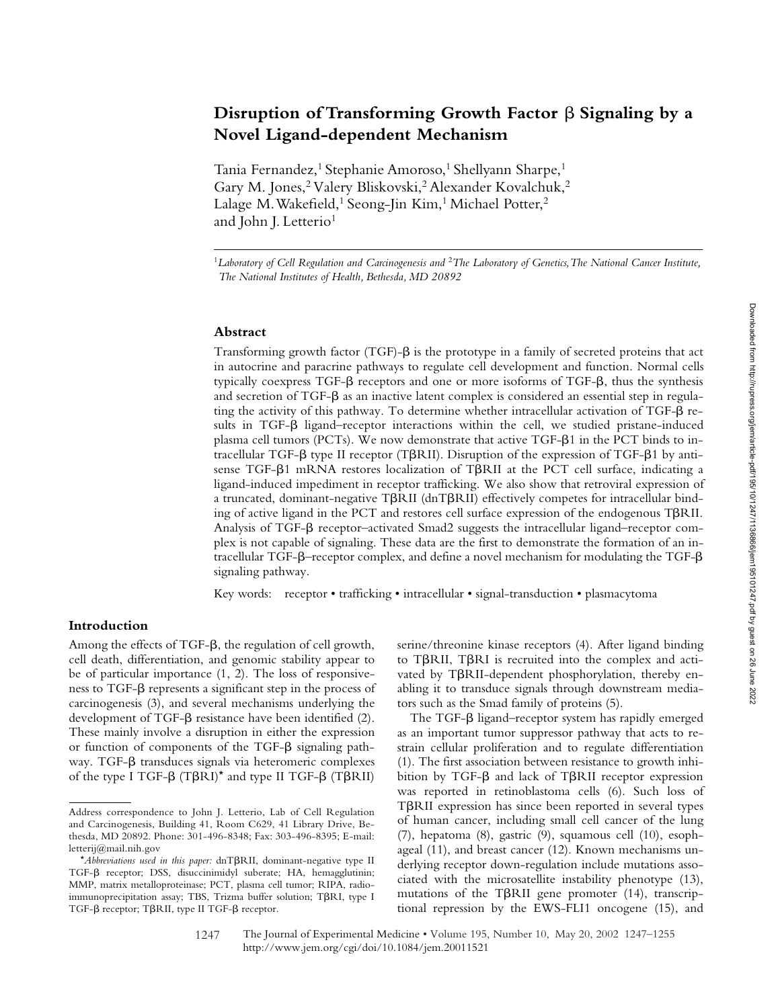# Disruption of Transforming Growth Factor **ß** Signaling by a **Novel Ligand-dependent Mechanism**

Tania Fernandez,<sup>1</sup> Stephanie Amoroso,<sup>1</sup> Shellyann Sharpe,<sup>1</sup> Gary M. Jones,<sup>2</sup> Valery Bliskovski,<sup>2</sup> Alexander Kovalchuk,<sup>2</sup> Lalage M. Wakefield,<sup>1</sup> Seong-Jin Kim,<sup>1</sup> Michael Potter,<sup>2</sup> and John J. Letterio<sup>1</sup>

<sup>1</sup>*Laboratory of Cell Regulation and Carcinogenesis and* <sup>2</sup>*The Laboratory of Genetics, The National Cancer Institute, The National Institutes of Health, Bethesda, MD 20892*

#### **Abstract**

Transforming growth factor (TGF)- $\beta$  is the prototype in a family of secreted proteins that act in autocrine and paracrine pathways to regulate cell development and function. Normal cells typically coexpress TGF- $\beta$  receptors and one or more isoforms of TGF- $\beta$ , thus the synthesis and secretion of TGF- $\beta$  as an inactive latent complex is considered an essential step in regulating the activity of this pathway. To determine whether intracellular activation of TGF- $\beta$  results in TGF- $\beta$  ligand–receptor interactions within the cell, we studied pristane-induced plasma cell tumors (PCTs). We now demonstrate that active TGF- $\beta$ 1 in the PCT binds to intracellular TGF- $\beta$  type II receptor (T $\beta$ RII). Disruption of the expression of TGF- $\beta$ 1 by antisense TGF- $\beta$ 1 mRNA restores localization of T $\beta$ RII at the PCT cell surface, indicating a ligand-induced impediment in receptor trafficking. We also show that retroviral expression of a truncated, dominant-negative T $\beta$ RII (dnT $\beta$ RII) effectively competes for intracellular binding of active ligand in the PCT and restores cell surface expression of the endogenous  $T\beta RII$ . Analysis of TGF- $\beta$  receptor-activated Smad2 suggests the intracellular ligand-receptor complex is not capable of signaling. These data are the first to demonstrate the formation of an in $t$ racellular TGF- $\beta$ –receptor complex, and define a novel mechanism for modulating the TGF- $\beta$ signaling pathway.

Key words: receptor • trafficking • intracellular • signal-transduction • plasmacytoma

### **Introduction**

Among the effects of TGF- $\beta$ , the regulation of cell growth, cell death, differentiation, and genomic stability appear to be of particular importance (1, 2). The loss of responsiveness to TGF- $\beta$  represents a significant step in the process of carcinogenesis (3), and several mechanisms underlying the development of TGF- $\beta$  resistance have been identified (2). These mainly involve a disruption in either the expression or function of components of the TGF- $\beta$  signaling pathway. TGF- $\beta$  transduces signals via heteromeric complexes of the type I TGF- $\beta$  (T $\beta$ RI)<sup>\*</sup> and type II TGF- $\beta$  (T $\beta$ RII)

serine/threonine kinase receptors (4). After ligand binding to T $\beta$ RII, T $\beta$ RI is recruited into the complex and activated by T $\beta$ RII-dependent phosphorylation, thereby enabling it to transduce signals through downstream mediators such as the Smad family of proteins (5).

The TGF- $\beta$  ligand–receptor system has rapidly emerged as an important tumor suppressor pathway that acts to restrain cellular proliferation and to regulate differentiation (1). The first association between resistance to growth inhibition by TGF- $\beta$  and lack of T $\beta$ RII receptor expression was reported in retinoblastoma cells (6). Such loss of TBRII expression has since been reported in several types of human cancer, including small cell cancer of the lung (7), hepatoma (8), gastric (9), squamous cell (10), esophageal (11), and breast cancer (12). Known mechanisms underlying receptor down-regulation include mutations associated with the microsatellite instability phenotype (13), mutations of the T $\beta$ RII gene promoter (14), transcriptional repression by the EWS-FLI1 oncogene (15), and

Address correspondence to John J. Letterio, Lab of Cell Regulation and Carcinogenesis, Building 41, Room C629, 41 Library Drive, Bethesda, MD 20892. Phone: 301-496-8348; Fax: 303-496-8395; E-mail: letterij@mail.nih.gov

<sup>\*</sup>Abbreviations used in this paper: dnT $\beta$ RII, dominant-negative type II TGF- $\beta$  receptor; DSS, disuccinimidyl suberate; HA, hemagglutinin; MMP, matrix metalloproteinase; PCT, plasma cell tumor; RIPA, radioimmunoprecipitation assay; TBS, Trizma buffer solution; T $\beta$ RI, type I TGF- $\beta$  receptor; T $\beta$ RII, type II TGF- $\beta$  receptor.

<sup>1247</sup> The Journal of Experimental Medicine • Volume 195, Number 10, May 20, 2002 1247–1255 http://www.jem.org/cgi/doi/10.1084/jem.20011521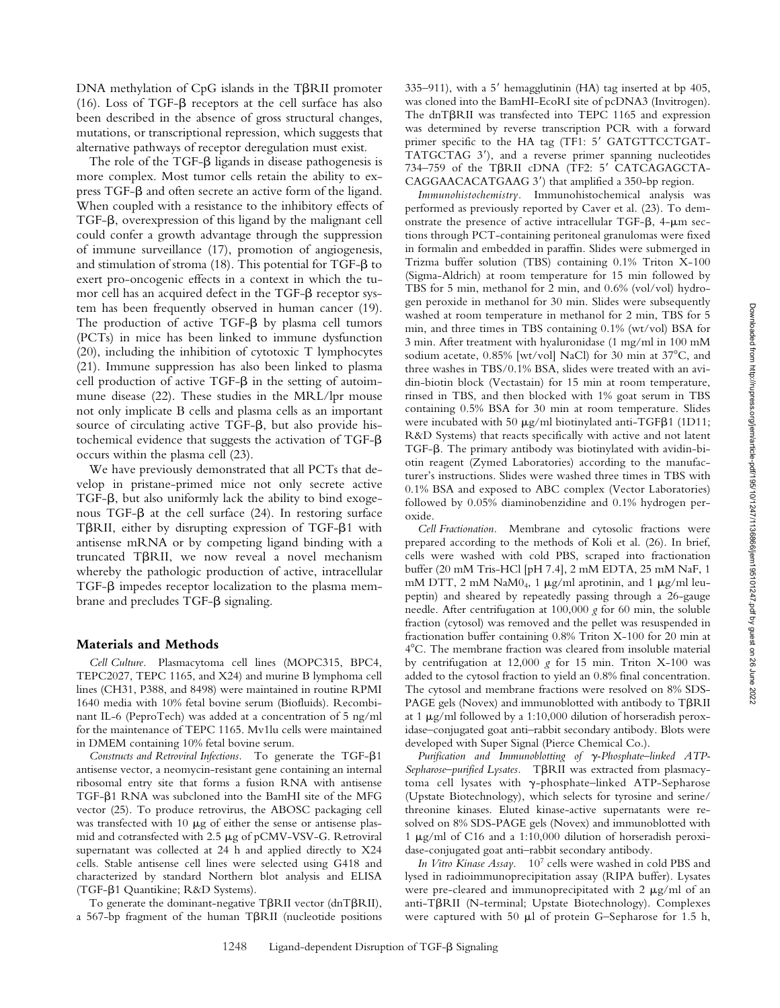DNA methylation of CpG islands in the T $\beta$ RII promoter (16). Loss of TGF- $\beta$  receptors at the cell surface has also been described in the absence of gross structural changes, mutations, or transcriptional repression, which suggests that alternative pathways of receptor deregulation must exist*.*

The role of the TGF- $\beta$  ligands in disease pathogenesis is more complex. Most tumor cells retain the ability to ex $pres$  TGF- $\beta$  and often secrete an active form of the ligand. When coupled with a resistance to the inhibitory effects of TGF- $\beta$ , overexpression of this ligand by the malignant cell could confer a growth advantage through the suppression of immune surveillance (17), promotion of angiogenesis, and stimulation of stroma (18). This potential for TGF- $\beta$  to exert pro-oncogenic effects in a context in which the tumor cell has an acquired defect in the  $TGF-\beta$  receptor system has been frequently observed in human cancer (19). The production of active  $TGF-\beta$  by plasma cell tumors (PCTs) in mice has been linked to immune dysfunction (20), including the inhibition of cytotoxic T lymphocytes (21). Immune suppression has also been linked to plasma cell production of active TGF- $\beta$  in the setting of autoimmune disease (22). These studies in the MRL/lpr mouse not only implicate B cells and plasma cells as an important source of circulating active TGF- $\beta$ , but also provide histochemical evidence that suggests the activation of TGF- $\beta$ occurs within the plasma cell (23).

We have previously demonstrated that all PCTs that develop in pristane-primed mice not only secrete active TGF- $\beta$ , but also uniformly lack the ability to bind exogenous TGF- $\beta$  at the cell surface (24). In restoring surface TBRII, either by disrupting expression of TGF-B1 with antisense mRNA or by competing ligand binding with a truncated TBRII, we now reveal a novel mechanism whereby the pathologic production of active, intracellular TGF- $\beta$  impedes receptor localization to the plasma membrane and precludes  $TGF- $\beta$  signaling.$ 

#### **Materials and Methods**

*Cell Culture.* Plasmacytoma cell lines (MOPC315, BPC4, TEPC2027, TEPC 1165, and X24) and murine B lymphoma cell lines (CH31, P388, and 8498) were maintained in routine RPMI 1640 media with 10% fetal bovine serum (Biofluids). Recombinant IL-6 (PeproTech) was added at a concentration of 5 ng/ml for the maintenance of TEPC 1165. Mv1lu cells were maintained in DMEM containing 10% fetal bovine serum.

Constructs and Retroviral Infections. To generate the TGF- $\beta$ 1 antisense vector, a neomycin-resistant gene containing an internal ribosomal entry site that forms a fusion RNA with antisense TGF- $\beta$ 1 RNA was subcloned into the BamHI site of the MFG vector (25). To produce retrovirus, the ABOSC packaging cell was transfected with 10  $\mu$ g of either the sense or antisense plasmid and cotransfected with 2.5  $\mu$ g of pCMV-VSV-G. Retroviral supernatant was collected at 24 h and applied directly to X24 cells. Stable antisense cell lines were selected using G418 and characterized by standard Northern blot analysis and ELISA (TGF- $\beta$ 1 Quantikine; R&D Systems).

To generate the dominant-negative TBRII vector (dnTBRII), a 567-bp fragment of the human TBRII (nucleotide positions 335–911), with a 5' hemagglutinin (HA) tag inserted at bp  $405$ , was cloned into the BamHI-EcoRI site of pcDNA3 (Invitrogen). The dnT $\beta$ RII was transfected into TEPC 1165 and expression was determined by reverse transcription PCR with a forward primer specific to the HA tag (TF1: 5' GATGTTCCTGAT-TATGCTAG 3), and a reverse primer spanning nucleotides 734–759 of the TBRII cDNA (TF2: 5' CATCAGAGCTA-CAGGAACACATGAAG 3') that amplified a 350-bp region.

*Immunohistochemistry.* Immunohistochemical analysis was performed as previously reported by Caver et al. (23). To demonstrate the presence of active intracellular TGF- $\beta$ , 4- $\mu$ m sections through PCT-containing peritoneal granulomas were fixed in formalin and embedded in paraffin. Slides were submerged in Trizma buffer solution (TBS) containing 0.1% Triton X-100 (Sigma-Aldrich) at room temperature for 15 min followed by TBS for 5 min, methanol for 2 min, and 0.6% (vol/vol) hydrogen peroxide in methanol for 30 min. Slides were subsequently washed at room temperature in methanol for 2 min, TBS for 5 min, and three times in TBS containing 0.1% (wt/vol) BSA for 3 min. After treatment with hyaluronidase (1 mg/ml in 100 mM sodium acetate,  $0.85\%$  [wt/vol] NaCl) for 30 min at 37°C, and three washes in TBS/0.1% BSA, slides were treated with an avidin-biotin block (Vectastain) for 15 min at room temperature, rinsed in TBS, and then blocked with 1% goat serum in TBS containing 0.5% BSA for 30 min at room temperature. Slides were incubated with 50  $\mu$ g/ml biotinylated anti-TGFß1 (1D11; R&D Systems) that reacts specifically with active and not latent TGF- $\beta$ . The primary antibody was biotinylated with avidin-biotin reagent (Zymed Laboratories) according to the manufacturer's instructions. Slides were washed three times in TBS with 0.1% BSA and exposed to ABC complex (Vector Laboratories) followed by 0.05% diaminobenzidine and 0.1% hydrogen peroxide.

*Cell Fractionation.* Membrane and cytosolic fractions were prepared according to the methods of Koli et al. (26). In brief, cells were washed with cold PBS, scraped into fractionation buffer (20 mM Tris-HCl [pH 7.4], 2 mM EDTA, 25 mM NaF, 1 mM DTT, 2 mM NaM $0<sub>4</sub>$ , 1  $\mu$ g/ml aprotinin, and 1  $\mu$ g/ml leupeptin) and sheared by repeatedly passing through a 26-gauge needle. After centrifugation at 100,000 *g* for 60 min, the soluble fraction (cytosol) was removed and the pellet was resuspended in fractionation buffer containing 0.8% Triton X-100 for 20 min at 4C. The membrane fraction was cleared from insoluble material by centrifugation at 12,000 *g* for 15 min. Triton X-100 was added to the cytosol fraction to yield an 0.8% final concentration. The cytosol and membrane fractions were resolved on 8% SDS- $PAGE$  gels (Novex) and immunoblotted with antibody to  $T\beta RII$ at 1  $\mu$ g/ml followed by a 1:10,000 dilution of horseradish peroxidase–conjugated goat anti–rabbit secondary antibody. Blots were developed with Super Signal (Pierce Chemical Co.).

*Purification and Immunoblotting of γ-Phosphate–linked ATP-*Sepharose-purified Lysates. TBRII was extracted from plasmacytoma cell lysates with  $\gamma$ -phosphate–linked ATP-Sepharose (Upstate Biotechnology), which selects for tyrosine and serine/ threonine kinases. Eluted kinase-active supernatants were resolved on 8% SDS-PAGE gels (Novex) and immunoblotted with 1  $\mu$ g/ml of C16 and a 1:10,000 dilution of horseradish peroxidase-conjugated goat anti–rabbit secondary antibody.

*In Vitro Kinase Assay.* 107 cells were washed in cold PBS and lysed in radioimmunoprecipitation assay (RIPA buffer). Lysates were pre-cleared and immunoprecipitated with  $2 \mu g/ml$  of an anti-T $\beta$ RII (N-terminal; Upstate Biotechnology). Complexes were captured with 50  $\mu$ l of protein G–Sepharose for 1.5 h,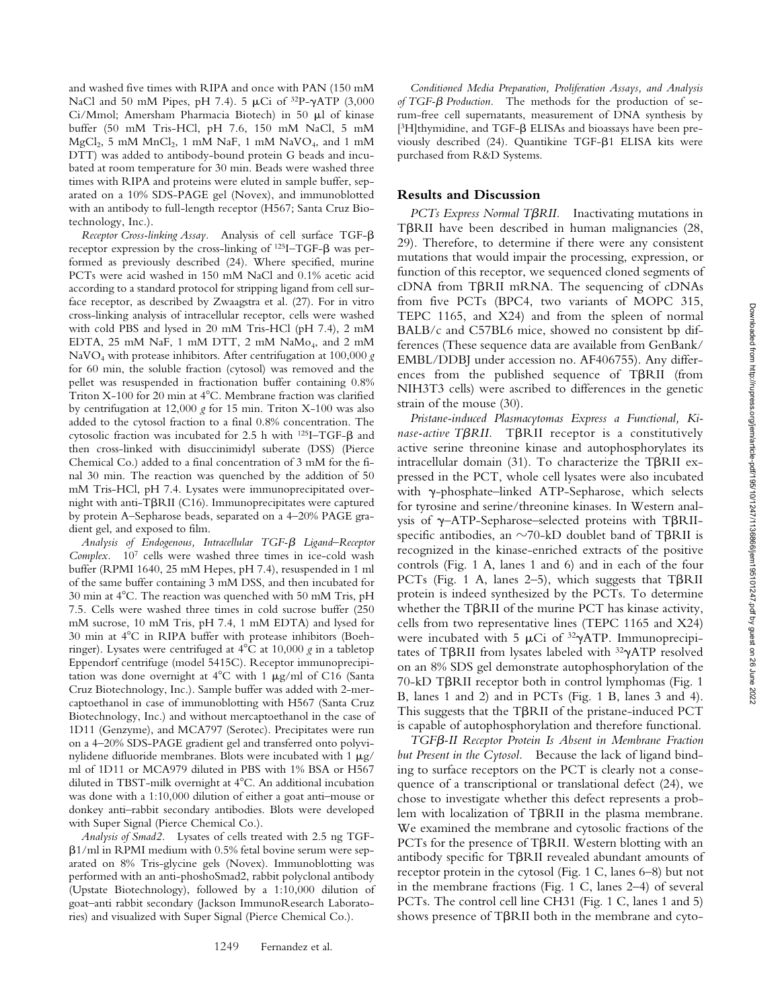and washed five times with RIPA and once with PAN (150 mM NaCl and 50 mM Pipes, pH 7.4). 5  $\mu$ Ci of <sup>32</sup>P- $\gamma$ ATP (3,000 Ci/Mmol; Amersham Pharmacia Biotech) in 50  $\mu$ l of kinase buffer (50 mM Tris-HCl, pH 7.6, 150 mM NaCl, 5 mM  $MgCl<sub>2</sub>$ , 5 mM MnCl<sub>2</sub>, 1 mM NaF, 1 mM NaVO<sub>4</sub>, and 1 mM DTT) was added to antibody-bound protein G beads and incubated at room temperature for 30 min. Beads were washed three times with RIPA and proteins were eluted in sample buffer, separated on a 10% SDS-PAGE gel (Novex), and immunoblotted with an antibody to full-length receptor (H567; Santa Cruz Biotechnology, Inc.).

Receptor Cross-linking Assay. Analysis of cell surface TGF- $\beta$ receptor expression by the cross-linking of  $^{125}I-TGF-\beta$  was performed as previously described (24). Where specified, murine PCTs were acid washed in 150 mM NaCl and 0.1% acetic acid according to a standard protocol for stripping ligand from cell surface receptor, as described by Zwaagstra et al. (27). For in vitro cross-linking analysis of intracellular receptor, cells were washed with cold PBS and lysed in 20 mM Tris-HCl (pH 7.4), 2 mM EDTA, 25 mM NaF, 1 mM DTT, 2 mM NaMo<sub>4</sub>, and 2 mM NaVO4 with protease inhibitors. After centrifugation at 100,000 *g* for 60 min, the soluble fraction (cytosol) was removed and the pellet was resuspended in fractionation buffer containing 0.8% Triton  $X-100$  for 20 min at  $4^{\circ}$ C. Membrane fraction was clarified by centrifugation at 12,000 *g* for 15 min. Triton X-100 was also added to the cytosol fraction to a final 0.8% concentration. The cytosolic fraction was incubated for 2.5 h with  $^{125}I- TGF-\beta$  and then cross-linked with disuccinimidyl suberate (DSS) (Pierce Chemical Co.) added to a final concentration of 3 mM for the final 30 min. The reaction was quenched by the addition of 50 mM Tris-HCl, pH 7.4. Lysates were immunoprecipitated overnight with anti-T $\beta$ RII (C16). Immunoprecipitates were captured by protein A–Sepharose beads, separated on a 4–20% PAGE gradient gel, and exposed to film.

*Analysis of Endogenous, Intracellular TGF-*- *Ligand–Receptor Complex.* 107 cells were washed three times in ice-cold wash buffer (RPMI 1640, 25 mM Hepes, pH 7.4), resuspended in 1 ml of the same buffer containing 3 mM DSS, and then incubated for 30 min at 4C. The reaction was quenched with 50 mM Tris, pH 7.5. Cells were washed three times in cold sucrose buffer (250 mM sucrose, 10 mM Tris, pH 7.4, 1 mM EDTA) and lysed for 30 min at 4C in RIPA buffer with protease inhibitors (Boehringer). Lysates were centrifuged at 4°C at 10,000 g in a tabletop Eppendorf centrifuge (model 5415C). Receptor immunoprecipitation was done overnight at  $4^{\circ}$ C with 1  $\mu$ g/ml of C16 (Santa Cruz Biotechnology, Inc.). Sample buffer was added with 2-mercaptoethanol in case of immunoblotting with H567 (Santa Cruz Biotechnology, Inc.) and without mercaptoethanol in the case of 1D11 (Genzyme), and MCA797 (Serotec). Precipitates were run on a 4–20% SDS-PAGE gradient gel and transferred onto polyvinylidene difluoride membranes. Blots were incubated with  $1 \mu g$ / ml of 1D11 or MCA979 diluted in PBS with 1% BSA or H567 diluted in TBST-milk overnight at 4°C. An additional incubation was done with a 1:10,000 dilution of either a goat anti–mouse or donkey anti–rabbit secondary antibodies. Blots were developed with Super Signal (Pierce Chemical Co.).

*Analysis of Smad2.* Lysates of cells treated with 2.5 ng TGF- -1/ml in RPMI medium with 0.5% fetal bovine serum were separated on 8% Tris-glycine gels (Novex). Immunoblotting was performed with an anti-phoshoSmad2, rabbit polyclonal antibody (Upstate Biotechnology), followed by a 1:10,000 dilution of goat–anti rabbit secondary (Jackson ImmunoResearch Laboratories) and visualized with Super Signal (Pierce Chemical Co.).

*Conditioned Media Preparation, Proliferation Assays, and Analysis of TGF-*- *Production.* The methods for the production of serum-free cell supernatants, measurement of DNA synthesis by  $[3H]$ thymidine, and TGF- $\beta$  ELISAs and bioassays have been previously described (24). Quantikine TGF- $\beta$ 1 ELISA kits were purchased from R&D Systems.

## **Results and Discussion**

PCTs Express Normal T $\beta$ RII. Inactivating mutations in TBRII have been described in human malignancies (28, 29). Therefore, to determine if there were any consistent mutations that would impair the processing, expression, or function of this receptor, we sequenced cloned segments of cDNA from TBRII mRNA. The sequencing of cDNAs from five PCTs (BPC4, two variants of MOPC 315, TEPC 1165, and X24) and from the spleen of normal BALB/c and C57BL6 mice, showed no consistent bp differences (These sequence data are available from GenBank/ EMBL/DDBJ under accession no. AF406755). Any differences from the published sequence of  $T\beta \text{RII}$  (from NIH3T3 cells) were ascribed to differences in the genetic strain of the mouse (30).

*Pristane-induced Plasmacytomas Express a Functional, Ki*nase-active TBRII. TBRII receptor is a constitutively active serine threonine kinase and autophosphorylates its intracellular domain  $(31)$ . To characterize the T $\beta$ RII expressed in the PCT, whole cell lysates were also incubated with  $\gamma$ -phosphate–linked ATP-Sepharose, which selects for tyrosine and serine/threonine kinases. In Western analysis of  $\gamma$ -ATP-Sepharose-selected proteins with TBRIIspecific antibodies, an  $\sim$ 70-kD doublet band of T $\beta$ RII is recognized in the kinase-enriched extracts of the positive controls (Fig. 1 A, lanes 1 and 6) and in each of the four PCTs (Fig. 1 A, lanes 2-5), which suggests that TBRII protein is indeed synthesized by the PCTs. To determine whether the T $\beta$ RII of the murine PCT has kinase activity, cells from two representative lines (TEPC 1165 and X24) were incubated with 5  $\mu$ Ci of <sup>32</sup> $\gamma$ ATP. Immunoprecipitates of T $\beta$ RII from lysates labeled with <sup>32</sup> $\gamma$ ATP resolved on an 8% SDS gel demonstrate autophosphorylation of the 70-kD TβRII receptor both in control lymphomas (Fig. 1 B, lanes 1 and 2) and in PCTs (Fig. 1 B, lanes 3 and 4). This suggests that the TBRII of the pristane-induced PCT is capable of autophosphorylation and therefore functional.

TGF<sub>B</sub>-II Receptor Protein Is Absent in Membrane Fraction *but Present in the Cytosol.* Because the lack of ligand binding to surface receptors on the PCT is clearly not a consequence of a transcriptional or translational defect (24), we chose to investigate whether this defect represents a problem with localization of T $\beta$ RII in the plasma membrane. We examined the membrane and cytosolic fractions of the PCTs for the presence of T $\beta$ RII. Western blotting with an antibody specific for  $T\beta \mathrm{RII}$  revealed abundant amounts of receptor protein in the cytosol (Fig. 1 C, lanes 6–8) but not in the membrane fractions (Fig. 1 C, lanes 2–4) of several PCTs. The control cell line CH31 (Fig. 1 C, lanes 1 and 5) shows presence of T $\beta$ RII both in the membrane and cyto-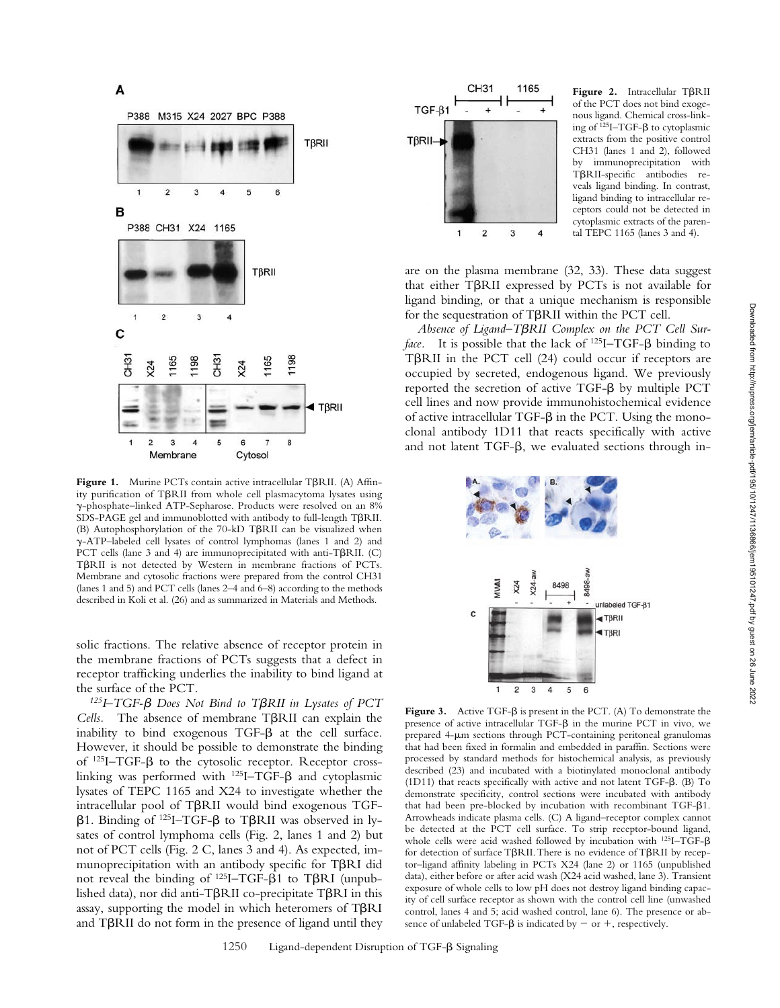

Figure 1. Murine PCTs contain active intracellular T $\beta$ RII. (A) Affinity purification of TBRII from whole cell plasmacytoma lysates using -phosphate–linked ATP-Sepharose. Products were resolved on an 8% SDS-PAGE gel and immunoblotted with antibody to full-length TBRII. (B) Autophosphorylation of the 70-kD TBRII can be visualized when -ATP–labeled cell lysates of control lymphomas (lanes 1 and 2) and PCT cells (lane 3 and 4) are immunoprecipitated with anti-T $\beta$ RII. (C) TBRII is not detected by Western in membrane fractions of PCTs. Membrane and cytosolic fractions were prepared from the control CH31 (lanes 1 and 5) and PCT cells (lanes 2–4 and 6–8) according to the methods described in Koli et al. (26) and as summarized in Materials and Methods.

solic fractions. The relative absence of receptor protein in the membrane fractions of PCTs suggests that a defect in receptor trafficking underlies the inability to bind ligand at the surface of the PCT.

<sup>125</sup>I-TGF-β Does Not Bind to TβRII in Lysates of PCT Cells. The absence of membrane T $\beta$ RII can explain the inability to bind exogenous  $TGF-\beta$  at the cell surface. However, it should be possible to demonstrate the binding of  $^{125}I-TGF- $\beta$  to the cytosolic receptor. Receptor cross$ linking was performed with  $^{125}I- TGF-\beta$  and cytoplasmic lysates of TEPC 1165 and X24 to investigate whether the intracellular pool of T $\beta$ RII would bind exogenous TGF- $\beta$ 1. Binding of <sup>125</sup>I-TGF- $\beta$  to T $\beta$ RII was observed in lysates of control lymphoma cells (Fig. 2, lanes 1 and 2) but not of PCT cells (Fig. 2 C, lanes 3 and 4). As expected, immunoprecipitation with an antibody specific for TBRI did not reveal the binding of  $^{125}I - TGF - \beta1$  to T $\beta RI$  (unpublished data), nor did anti-T $\beta$ RII co-precipitate T $\beta$ RI in this assay, supporting the model in which heteromers of  $T\beta RI$ and TBRII do not form in the presence of ligand until they



Figure 2. Intracellular TBRII of the PCT does not bind exogenous ligand. Chemical cross-linking of  $^{125}$ I–TGF- $\beta$  to cytoplasmic extracts from the positive control CH31 (lanes 1 and 2), followed by immunoprecipitation with TBRII-specific antibodies reveals ligand binding. In contrast, ligand binding to intracellular receptors could not be detected in cytoplasmic extracts of the parental TEPC 1165 (lanes 3 and 4).

are on the plasma membrane (32, 33). These data suggest that either T $\beta$ RII expressed by PCTs is not available for ligand binding, or that a unique mechanism is responsible for the sequestration of T $\beta$ RII within the PCT cell.

*Absence of Ligand–T*-*RII Complex on the PCT Cell Sur*face. It is possible that the lack of <sup>125</sup>I–TGF- $\beta$  binding to TBRII in the PCT cell (24) could occur if receptors are occupied by secreted, endogenous ligand. We previously  $reported$  the secretion of active TGF- $\beta$  by multiple PCT cell lines and now provide immunohistochemical evidence of active intracellular TGF- $\beta$  in the PCT. Using the monoclonal antibody 1D11 that reacts specifically with active and not latent TGF- $\beta$ , we evaluated sections through in-



Figure 3. Active  $TGF-\beta$  is present in the PCT. (A) To demonstrate the presence of active intracellular  $TGF-\beta$  in the murine PCT in vivo, we prepared 4-m sections through PCT-containing peritoneal granulomas that had been fixed in formalin and embedded in paraffin. Sections were processed by standard methods for histochemical analysis, as previously described (23) and incubated with a biotinylated monoclonal antibody (1D11) that reacts specifically with active and not latent TGF- $\beta$ . (B) To demonstrate specificity, control sections were incubated with antibody that had been pre-blocked by incubation with recombinant TGF- $\beta$ 1. Arrowheads indicate plasma cells. (C) A ligand–receptor complex cannot be detected at the PCT cell surface. To strip receptor-bound ligand, whole cells were acid washed followed by incubation with  $^{125}I-TGF-\beta$ for detection of surface T $\beta$ RII. There is no evidence of T $\beta$ RII by receptor–ligand affinity labeling in PCTs X24 (lane 2) or 1165 (unpublished data), either before or after acid wash (X24 acid washed, lane 3). Transient exposure of whole cells to low pH does not destroy ligand binding capacity of cell surface receptor as shown with the control cell line (unwashed control, lanes 4 and 5; acid washed control, lane 6). The presence or absence of unlabeled TGF- $\beta$  is indicated by  $-$  or  $+$ , respectively.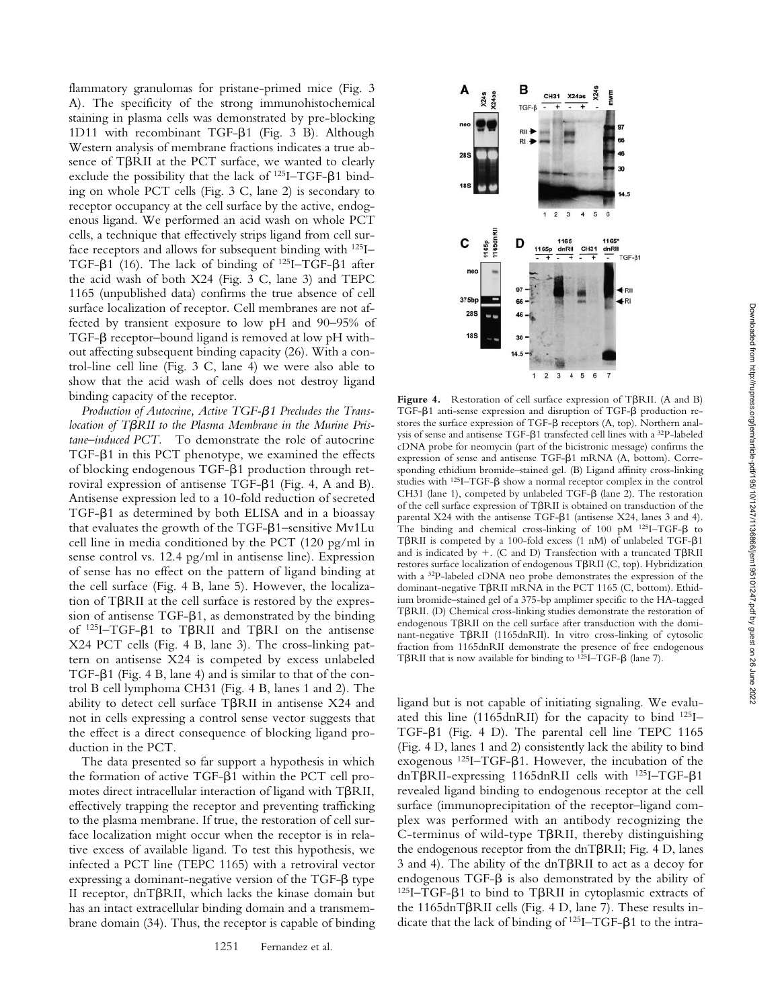flammatory granulomas for pristane-primed mice (Fig. 3 A). The specificity of the strong immunohistochemical staining in plasma cells was demonstrated by pre-blocking 1D11 with recombinant TGF- $\beta$ 1 (Fig. 3 B). Although Western analysis of membrane fractions indicates a true absence of T $\beta$ RII at the PCT surface, we wanted to clearly exclude the possibility that the lack of  $^{125}I-TGF-β1$  binding on whole PCT cells (Fig. 3 C, lane 2) is secondary to receptor occupancy at the cell surface by the active, endogenous ligand. We performed an acid wash on whole PCT cells, a technique that effectively strips ligand from cell surface receptors and allows for subsequent binding with 125I– TGF- $\beta$ 1 (16). The lack of binding of <sup>125</sup>I–TGF- $\beta$ 1 after the acid wash of both X24 (Fig. 3 C, lane 3) and TEPC 1165 (unpublished data) confirms the true absence of cell surface localization of receptor. Cell membranes are not affected by transient exposure to low pH and 90–95% of TGF- $\beta$  receptor–bound ligand is removed at low pH without affecting subsequent binding capacity (26). With a control-line cell line (Fig. 3 C, lane 4) we were also able to show that the acid wash of cells does not destroy ligand binding capacity of the receptor.

Production of Autocrine, Active TGF- $\beta$ 1 Precludes the Translocation of T $\beta$ RII to the Plasma Membrane in the Murine Pris*tane–induced PCT.* To demonstrate the role of autocrine TGF- $\beta$ 1 in this PCT phenotype, we examined the effects of blocking endogenous TGF- $\beta$ 1 production through retroviral expression of antisense TGF- $\beta$ 1 (Fig. 4, A and B). Antisense expression led to a 10-fold reduction of secreted TGF- $\beta$ 1 as determined by both ELISA and in a bioassay that evaluates the growth of the TGF- $\beta$ 1-sensitive Mv1Lu cell line in media conditioned by the PCT (120 pg/ml in sense control vs. 12.4 pg/ml in antisense line). Expression of sense has no effect on the pattern of ligand binding at the cell surface (Fig. 4 B, lane 5). However, the localization of T $\beta$ RII at the cell surface is restored by the expres $sion$  of antisense TGF- $\beta$ 1, as demonstrated by the binding of  $^{125}I$ -TGF- $\beta$ 1 to T $\beta$ RII and T $\beta$ RI on the antisense X24 PCT cells (Fig. 4 B, lane 3). The cross-linking pattern on antisense X24 is competed by excess unlabeled TGF- $\beta$ 1 (Fig. 4 B, lane 4) and is similar to that of the control B cell lymphoma CH31 (Fig. 4 B, lanes 1 and 2). The ability to detect cell surface TBRII in antisense X24 and not in cells expressing a control sense vector suggests that the effect is a direct consequence of blocking ligand production in the PCT.

The data presented so far support a hypothesis in which the formation of active TGF- $\beta$ 1 within the PCT cell promotes direct intracellular interaction of ligand with TBRII, effectively trapping the receptor and preventing trafficking to the plasma membrane. If true, the restoration of cell surface localization might occur when the receptor is in relative excess of available ligand. To test this hypothesis, we infected a PCT line (TEPC 1165) with a retroviral vector expressing a dominant-negative version of the TGF- $\beta$  type II receptor, dnT $\beta$ RII, which lacks the kinase domain but has an intact extracellular binding domain and a transmembrane domain (34). Thus, the receptor is capable of binding



Figure 4. Restoration of cell surface expression of TBRII. (A and B) TGF- $\beta$ 1 anti-sense expression and disruption of TGF- $\beta$  production restores the surface expression of TGF- $\beta$  receptors (A, top). Northern analysis of sense and antisense TGF- $\beta$ 1 transfected cell lines with a <sup>32</sup>P-labeled cDNA probe for neomycin (part of the bicistronic message) confirms the expression of sense and antisense TGF- $\beta$ 1 mRNA (A, bottom). Corresponding ethidium bromide–stained gel. (B) Ligand affinity cross-linking studies with  $^{125}I- TGF-\beta$  show a normal receptor complex in the control CH31 (lane 1), competed by unlabeled TGF- $\beta$  (lane 2). The restoration of the cell surface expression of T $\beta$ RII is obtained on transduction of the parental  $X24$  with the antisense TGF- $\beta$ 1 (antisense  $X24$ , lanes 3 and 4). The binding and chemical cross-linking of 100 pM  $^{125}I-TGF- $\beta$  to$ TBRII is competed by a 100-fold excess (1 nM) of unlabeled TGF-B1 and is indicated by  $+$ . (C and D) Transfection with a truncated T $\beta$ RII restores surface localization of endogenous T $\beta$ RII (C, top). Hybridization with a 32P-labeled cDNA neo probe demonstrates the expression of the dominant-negative T $\beta$ RII mRNA in the PCT 1165 (C, bottom). Ethidium bromide–stained gel of a 375-bp amplimer specific to the HA-tagged TBRII. (D) Chemical cross-linking studies demonstrate the restoration of endogenous T $\beta$ RII on the cell surface after transduction with the dominant-negative T $\beta$ RII (1165dnRII). In vitro cross-linking of cytosolic fraction from 1165dnRII demonstrate the presence of free endogenous T $\beta$ RII that is now available for binding to <sup>125</sup>I–TGF- $\beta$  (lane 7).

ligand but is not capable of initiating signaling. We evaluated this line (1165dnRII) for the capacity to bind  $^{125}$ I-TGF- $\beta$ 1 (Fig. 4 D). The parental cell line TEPC 1165 (Fig. 4 D, lanes 1 and 2) consistently lack the ability to bind exogenous  $^{125}I$ -TGF- $\beta$ 1. However, the incubation of the dnT $\beta$ RII-expressing 1165dnRII cells with <sup>125</sup>I-TGF- $\beta$ 1 revealed ligand binding to endogenous receptor at the cell surface (immunoprecipitation of the receptor–ligand complex was performed with an antibody recognizing the  $C$ -terminus of wild-type T $\beta$ RII, thereby distinguishing the endogenous receptor from the dnT $\beta$ RII; Fig. 4 D, lanes 3 and 4). The ability of the dnT $\beta$ RII to act as a decoy for endogenous  $TGF-\beta$  is also demonstrated by the ability of  $^{125}I- TGF- $\beta$ 1 to bind to T $\beta$ RI in cytoplasmic extracts of$ the 1165dnT $\beta$ RII cells (Fig. 4 D, lane 7). These results indicate that the lack of binding of  $^{125}I - TGF - \beta1$  to the intra-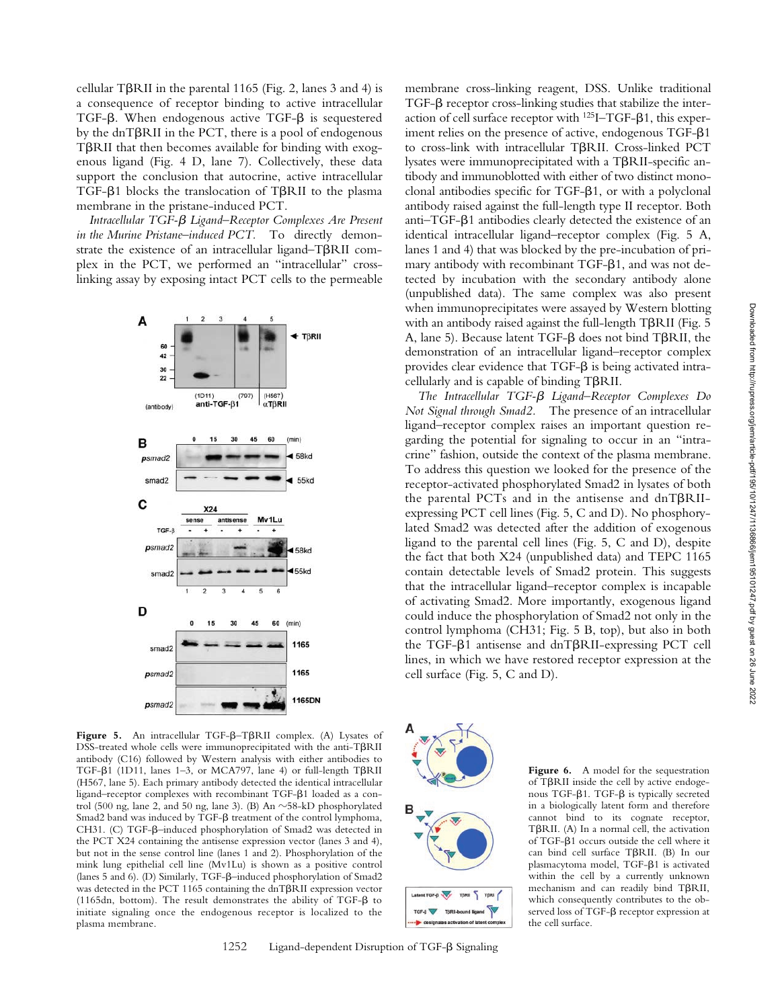cellular T $\beta$ RII in the parental 1165 (Fig. 2, lanes 3 and 4) is a consequence of receptor binding to active intracellular TGF- $\beta$ . When endogenous active TGF- $\beta$  is sequestered by the dnTβRII in the PCT, there is a pool of endogenous TBRII that then becomes available for binding with exogenous ligand (Fig. 4 D, lane 7). Collectively, these data support the conclusion that autocrine, active intracellular TGF- $\beta$ 1 blocks the translocation of T $\beta$ RII to the plasma membrane in the pristane-induced PCT.

Intracellular TGF-β Ligand–Receptor Complexes Are Present *in the Murine Pristane–induced PCT.* To directly demonstrate the existence of an intracellular ligand-T $\beta$ RII complex in the PCT, we performed an "intracellular" crosslinking assay by exposing intact PCT cells to the permeable



Figure 5. An intracellular TGF- $\beta$ -T $\beta$ RII complex. (A) Lysates of  $DSS$ -treated whole cells were immunoprecipitated with the anti-T $\beta$ RII antibody (C16) followed by Western analysis with either antibodies to TGF- $\beta$ 1 (1D11, lanes 1–3, or MCA797, lane 4) or full-length T $\beta$ RII (H567, lane 5). Each primary antibody detected the identical intracellular ligand-receptor complexes with recombinant TGF- $\beta$ 1 loaded as a control (500 ng, lane 2, and 50 ng, lane 3). (B) An  $\sim$ 58-kD phosphorylated Smad2 band was induced by TGF- $\beta$  treatment of the control lymphoma, CH31. (C) TGF- $\beta$ -induced phosphorylation of Smad2 was detected in the PCT X24 containing the antisense expression vector (lanes 3 and 4), but not in the sense control line (lanes 1 and 2). Phosphorylation of the mink lung epithelial cell line (Mv1Lu) is shown as a positive control (lanes 5 and 6). (D) Similarly, TGF- $\beta$ -induced phosphorylation of Smad2 was detected in the PCT 1165 containing the dnT $\beta$ RII expression vector (1165dn, bottom). The result demonstrates the ability of TGF- $\beta$  to initiate signaling once the endogenous receptor is localized to the plasma membrane.

1252 Ligand-dependent Disruption of TGF-β Signaling

membrane cross-linking reagent, DSS. Unlike traditional  $TGF-\beta$  receptor cross-linking studies that stabilize the interaction of cell surface receptor with  $^{125}I-\text{TGF-}\beta1$ , this experiment relies on the presence of active, endogenous TGF-81 to cross-link with intracellular TBRII. Cross-linked PCT lysates were immunoprecipitated with a TBRII-specific antibody and immunoblotted with either of two distinct monoclonal antibodies specific for TGF- $\beta$ 1, or with a polyclonal antibody raised against the full-length type II receptor. Both anti-TGF- $\beta$ 1 antibodies clearly detected the existence of an identical intracellular ligand–receptor complex (Fig. 5 A, lanes 1 and 4) that was blocked by the pre-incubation of primary antibody with recombinant TGF- $\beta$ 1, and was not detected by incubation with the secondary antibody alone (unpublished data). The same complex was also present when immunoprecipitates were assayed by Western blotting with an antibody raised against the full-length TBRII (Fig. 5 A, lane 5). Because latent TGF- $\beta$  does not bind T $\beta$ RII, the demonstration of an intracellular ligand–receptor complex provides clear evidence that  $TGF-\beta$  is being activated intra $cellularly$  and is capable of binding  $T\beta RII$ .

The Intracellular TGF- $\beta$  Ligand–Receptor Complexes Do *Not Signal through Smad2.* The presence of an intracellular ligand–receptor complex raises an important question regarding the potential for signaling to occur in an "intracrine" fashion, outside the context of the plasma membrane. To address this question we looked for the presence of the receptor-activated phosphorylated Smad2 in lysates of both the parental PCTs and in the antisense and  $dnT\beta RI$ expressing PCT cell lines (Fig. 5, C and D). No phosphorylated Smad2 was detected after the addition of exogenous ligand to the parental cell lines (Fig. 5, C and D), despite the fact that both X24 (unpublished data) and TEPC 1165 contain detectable levels of Smad2 protein. This suggests that the intracellular ligand–receptor complex is incapable of activating Smad2. More importantly, exogenous ligand could induce the phosphorylation of Smad2 not only in the control lymphoma (CH31; Fig. 5 B, top), but also in both the TGF- $\beta$ 1 antisense and dnT $\beta$ RII-expressing PCT cell lines, in which we have restored receptor expression at the cell surface (Fig. 5, C and D).



Figure 6. A model for the sequestration of TBRII inside the cell by active endogenous TGF- $\beta$ 1. TGF- $\beta$  is typically secreted in a biologically latent form and therefore cannot bind to its cognate receptor, TBRII. (A) In a normal cell, the activation of TGF- $\beta$ 1 occurs outside the cell where it can bind cell surface TβRII. (B) In our plasmacytoma model, TGF- $\beta$ 1 is activated within the cell by a currently unknown  $m$ echanism and can readily bind T $\beta$ RII, which consequently contributes to the observed loss of TGF- $\beta$  receptor expression at the cell surface.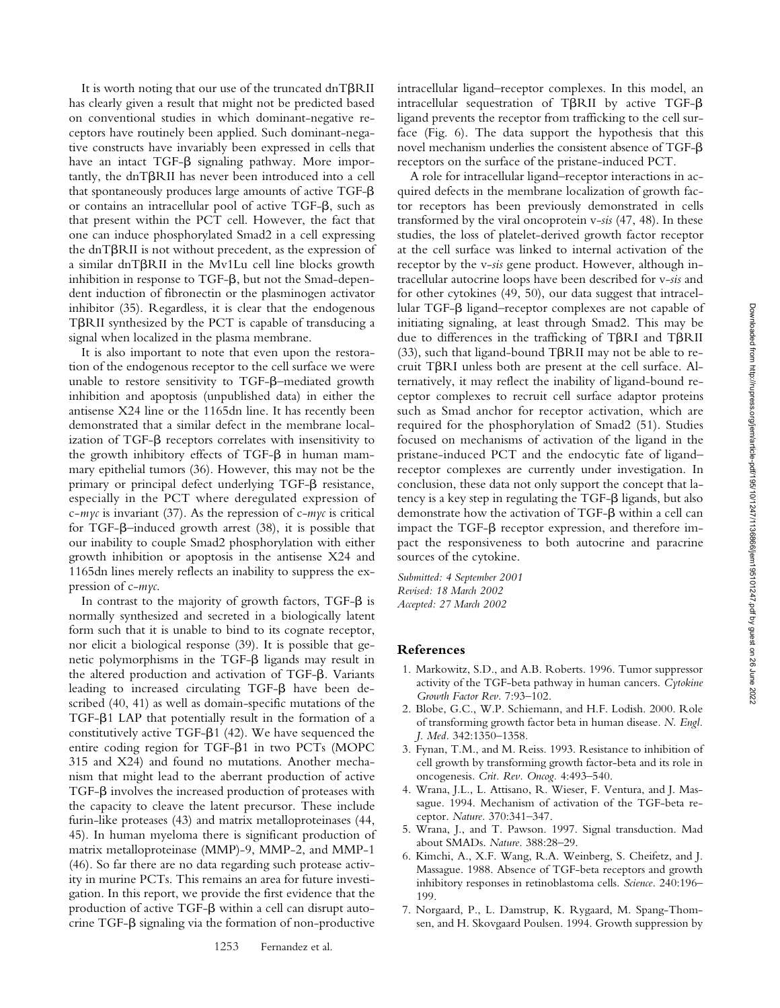It is worth noting that our use of the truncated dnT $\beta$ RII has clearly given a result that might not be predicted based on conventional studies in which dominant-negative receptors have routinely been applied. Such dominant-negative constructs have invariably been expressed in cells that have an intact TGF- $\beta$  signaling pathway. More importantly, the dnT $\beta$ RII has never been introduced into a cell that spontaneously produces large amounts of active TGF- $\beta$ or contains an intracellular pool of active TGF- $\beta$ , such as that present within the PCT cell. However, the fact that one can induce phosphorylated Smad2 in a cell expressing the dnT $\beta$ RII is not without precedent, as the expression of a similar dnT $\beta$ RII in the Mv1Lu cell line blocks growth inhibition in response to  $TGF-\beta$ , but not the Smad-dependent induction of fibronectin or the plasminogen activator inhibitor (35). Regardless, it is clear that the endogenous TBRII synthesized by the PCT is capable of transducing a signal when localized in the plasma membrane.

It is also important to note that even upon the restoration of the endogenous receptor to the cell surface we were unable to restore sensitivity to TGF- $\beta$ -mediated growth inhibition and apoptosis (unpublished data) in either the antisense X24 line or the 1165dn line. It has recently been demonstrated that a similar defect in the membrane localization of TGF- $\beta$  receptors correlates with insensitivity to the growth inhibitory effects of  $TGF-\beta$  in human mammary epithelial tumors (36). However, this may not be the primary or principal defect underlying TGF- $\beta$  resistance, especially in the PCT where deregulated expression of c-*myc* is invariant (37). As the repression of c-*myc* is critical for TGF- $\beta$ -induced growth arrest (38), it is possible that our inability to couple Smad2 phosphorylation with either growth inhibition or apoptosis in the antisense X24 and 1165dn lines merely reflects an inability to suppress the expression of c-*myc*.

In contrast to the majority of growth factors, TGF- $\beta$  is normally synthesized and secreted in a biologically latent form such that it is unable to bind to its cognate receptor, nor elicit a biological response (39). It is possible that genetic polymorphisms in the TGF- $\beta$  ligands may result in the altered production and activation of TGF- $\beta$ . Variants leading to increased circulating TGF- $\beta$  have been described (40, 41) as well as domain-specific mutations of the TGF- $\beta$ 1 LAP that potentially result in the formation of a constitutively active TGF- $\beta$ 1 (42). We have sequenced the entire coding region for TGF- $\beta$ 1 in two PCTs (MOPC 315 and X24) and found no mutations. Another mechanism that might lead to the aberrant production of active TGF- $\beta$  involves the increased production of proteases with the capacity to cleave the latent precursor. These include furin-like proteases (43) and matrix metalloproteinases (44, 45). In human myeloma there is significant production of matrix metalloproteinase (MMP)-9, MMP-2, and MMP-1 (46). So far there are no data regarding such protease activity in murine PCTs. This remains an area for future investigation. In this report, we provide the first evidence that the production of active  $TGF-\beta$  within a cell can disrupt autocrine TGF- $\beta$  signaling via the formation of non-productive

intracellular ligand–receptor complexes. In this model, an intracellular sequestration of T $\beta$ RII by active TGF- $\beta$ ligand prevents the receptor from trafficking to the cell surface (Fig. 6). The data support the hypothesis that this novel mechanism underlies the consistent absence of TGF- $\beta$ receptors on the surface of the pristane-induced PCT.

A role for intracellular ligand–receptor interactions in acquired defects in the membrane localization of growth factor receptors has been previously demonstrated in cells transformed by the viral oncoprotein v-*sis* (47, 48). In these studies, the loss of platelet-derived growth factor receptor at the cell surface was linked to internal activation of the receptor by the v-*sis* gene product. However, although intracellular autocrine loops have been described for v-*sis* and for other cytokines (49, 50), our data suggest that intracellular TGF-β ligand–receptor complexes are not capable of initiating signaling, at least through Smad2. This may be due to differences in the trafficking of TBRI and TBRII (33), such that ligand-bound T $\beta$ RII may not be able to re $c$ ruit T $\beta$ RI unless both are present at the cell surface. Alternatively, it may reflect the inability of ligand-bound receptor complexes to recruit cell surface adaptor proteins such as Smad anchor for receptor activation, which are required for the phosphorylation of Smad2 (51). Studies focused on mechanisms of activation of the ligand in the pristane-induced PCT and the endocytic fate of ligand– receptor complexes are currently under investigation. In conclusion, these data not only support the concept that la $t$ ency is a key step in regulating the TGF- $\beta$  ligands, but also demonstrate how the activation of TGF- $\beta$  within a cell can impact the TGF- $\beta$  receptor expression, and therefore impact the responsiveness to both autocrine and paracrine sources of the cytokine.

*Submitted: 4 September 2001 Revised: 18 March 2002 Accepted: 27 March 2002*

#### **References**

- 1. Markowitz, S.D., and A.B. Roberts. 1996. Tumor suppressor activity of the TGF-beta pathway in human cancers. *Cytokine Growth Factor Rev.* 7:93–102.
- 2. Blobe, G.C., W.P. Schiemann, and H.F. Lodish. 2000. Role of transforming growth factor beta in human disease. *N. Engl. J. Med.* 342:1350–1358.
- 3. Fynan, T.M., and M. Reiss. 1993. Resistance to inhibition of cell growth by transforming growth factor-beta and its role in oncogenesis. *Crit. Rev. Oncog.* 4:493–540.
- 4. Wrana, J.L., L. Attisano, R. Wieser, F. Ventura, and J. Massague. 1994. Mechanism of activation of the TGF-beta receptor. *Nature.* 370:341–347.
- 5. Wrana, J., and T. Pawson. 1997. Signal transduction. Mad about SMADs. *Nature.* 388:28–29.
- 6. Kimchi, A., X.F. Wang, R.A. Weinberg, S. Cheifetz, and J. Massague. 1988. Absence of TGF-beta receptors and growth inhibitory responses in retinoblastoma cells. *Science.* 240:196– 199.
- 7. Norgaard, P., L. Damstrup, K. Rygaard, M. Spang-Thomsen, and H. Skovgaard Poulsen. 1994. Growth suppression by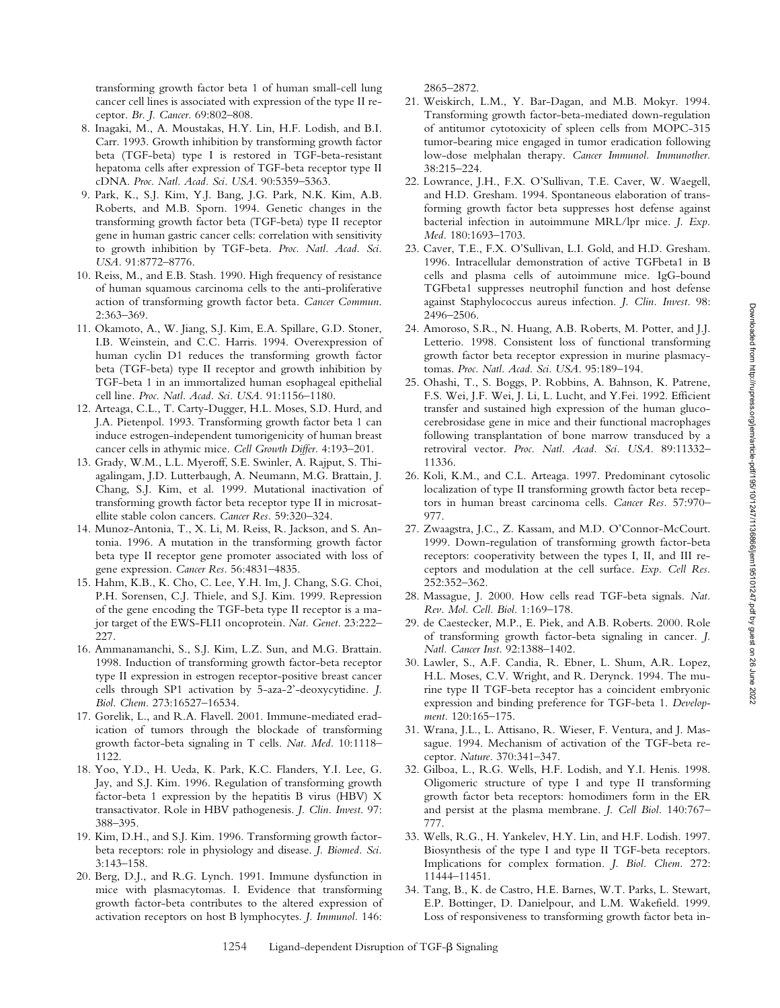transforming growth factor beta 1 of human small-cell lung cancer cell lines is associated with expression of the type II receptor. *Br. J. Cancer.* 69:802–808.

- 8. Inagaki, M., A. Moustakas, H.Y. Lin, H.F. Lodish, and B.I. Carr. 1993. Growth inhibition by transforming growth factor beta (TGF-beta) type I is restored in TGF-beta-resistant hepatoma cells after expression of TGF-beta receptor type II cDNA. *Proc. Natl. Acad. Sci. USA.* 90:5359–5363.
- 9. Park, K., S.J. Kim, Y.J. Bang, J.G. Park, N.K. Kim, A.B. Roberts, and M.B. Sporn. 1994. Genetic changes in the transforming growth factor beta (TGF-beta) type II receptor gene in human gastric cancer cells: correlation with sensitivity to growth inhibition by TGF-beta. *Proc. Natl. Acad. Sci. USA.* 91:8772–8776.
- 10. Reiss, M., and E.B. Stash. 1990. High frequency of resistance of human squamous carcinoma cells to the anti-proliferative action of transforming growth factor beta. *Cancer Commun*. 2:363–369.
- 11. Okamoto, A., W. Jiang, S.J. Kim, E.A. Spillare, G.D. Stoner, I.B. Weinstein, and C.C. Harris. 1994. Overexpression of human cyclin D1 reduces the transforming growth factor beta (TGF-beta) type II receptor and growth inhibition by TGF-beta 1 in an immortalized human esophageal epithelial cell line*. Proc. Natl. Acad. Sci. USA.* 91:1156–1180.
- 12. Arteaga, C.L., T. Carty-Dugger, H.L. Moses, S.D. Hurd, and J.A. Pietenpol. 1993. Transforming growth factor beta 1 can induce estrogen-independent tumorigenicity of human breast cancer cells in athymic mice. *Cell Growth Differ.* 4:193–201.
- 13. Grady, W.M., L.L. Myeroff, S.E. Swinler, A. Rajput, S. Thiagalingam, J.D. Lutterbaugh, A. Neumann, M.G. Brattain, J. Chang, S.J. Kim, et al. 1999. Mutational inactivation of transforming growth factor beta receptor type II in microsatellite stable colon cancers. *Cancer Res.* 59:320–324.
- 14. Munoz-Antonia, T., X. Li, M. Reiss, R. Jackson, and S. Antonia. 1996. A mutation in the transforming growth factor beta type II receptor gene promoter associated with loss of gene expression. *Cancer Res.* 56:4831–4835.
- 15. Hahm, K.B., K. Cho, C. Lee, Y.H. Im, J. Chang, S.G. Choi, P.H. Sorensen, C.J. Thiele, and S.J. Kim. 1999. Repression of the gene encoding the TGF-beta type II receptor is a major target of the EWS-FLI1 oncoprotein. *Nat. Genet.* 23:222– 227.
- 16. Ammanamanchi, S., S.J. Kim, L.Z. Sun, and M.G. Brattain. 1998. Induction of transforming growth factor-beta receptor type II expression in estrogen receptor-positive breast cancer cells through SP1 activation by 5-aza-2'-deoxycytidine. *J. Biol. Chem.* 273:16527–16534.
- 17. Gorelik, L., and R.A. Flavell. 2001. Immune-mediated eradication of tumors through the blockade of transforming growth factor-beta signaling in T cells. *Nat. Med.* 10:1118– 1122.
- 18. Yoo, Y.D., H. Ueda, K. Park, K.C. Flanders, Y.I. Lee, G. Jay, and S.J. Kim. 1996. Regulation of transforming growth factor-beta 1 expression by the hepatitis B virus (HBV) X transactivator. Role in HBV pathogenesis. *J. Clin. Invest.* 97: 388–395.
- 19. Kim, D.H., and S.J. Kim. 1996. Transforming growth factorbeta receptors: role in physiology and disease. *J. Biomed. Sci.* 3:143–158.
- 20. Berg, D.J., and R.G. Lynch. 1991. Immune dysfunction in mice with plasmacytomas. I. Evidence that transforming growth factor-beta contributes to the altered expression of activation receptors on host B lymphocytes. *J. Immunol.* 146:

2865–2872.

- 21. Weiskirch, L.M., Y. Bar-Dagan, and M.B. Mokyr. 1994. Transforming growth factor-beta-mediated down-regulation of antitumor cytotoxicity of spleen cells from MOPC-315 tumor-bearing mice engaged in tumor eradication following low-dose melphalan therapy. *Cancer Immunol. Immunother.* 38:215–224.
- 22. Lowrance, J.H., F.X. O'Sullivan, T.E. Caver, W. Waegell, and H.D. Gresham. 1994. Spontaneous elaboration of transforming growth factor beta suppresses host defense against bacterial infection in autoimmune MRL/lpr mice. *J. Exp. Med.* 180:1693–1703.
- 23. Caver, T.E., F.X. O'Sullivan, L.I. Gold, and H.D. Gresham. 1996. Intracellular demonstration of active TGFbeta1 in B cells and plasma cells of autoimmune mice. IgG-bound TGFbeta1 suppresses neutrophil function and host defense against Staphylococcus aureus infection. *J. Clin. Invest.* 98: 2496–2506.
- 24. Amoroso, S.R., N. Huang, A.B. Roberts, M. Potter, and J.J. Letterio. 1998. Consistent loss of functional transforming growth factor beta receptor expression in murine plasmacytomas. *Proc. Natl. Acad. Sci. USA.* 95:189–194.
- 25. Ohashi, T., S. Boggs, P. Robbins, A. Bahnson, K. Patrene, F.S. Wei, J.F. Wei, J. Li, L. Lucht, and Y.Fei. 1992. Efficient transfer and sustained high expression of the human glucocerebrosidase gene in mice and their functional macrophages following transplantation of bone marrow transduced by a retroviral vector. *Proc. Natl. Acad. Sci. USA.* 89:11332– 11336.
- 26. Koli, K.M., and C.L. Arteaga. 1997. Predominant cytosolic localization of type II transforming growth factor beta receptors in human breast carcinoma cells. *Cancer Res.* 57:970– 977.
- 27. Zwaagstra, J.C., Z. Kassam, and M.D. O'Connor-McCourt. 1999. Down-regulation of transforming growth factor-beta receptors: cooperativity between the types I, II, and III receptors and modulation at the cell surface. *Exp. Cell Res.* 252:352–362.
- 28. Massague, J. 2000. How cells read TGF-beta signals. *Nat. Rev. Mol. Cell. Biol.* 1:169–178.
- 29. de Caestecker, M.P., E. Piek, and A.B. Roberts. 2000. Role of transforming growth factor-beta signaling in cancer. *J. Natl. Cancer Inst.* 92:1388–1402.
- 30. Lawler, S., A.F. Candia, R. Ebner, L. Shum, A.R. Lopez, H.L. Moses, C.V. Wright, and R. Derynck. 1994. The murine type II TGF-beta receptor has a coincident embryonic expression and binding preference for TGF-beta 1. *Development.* 120:165–175.
- 31. Wrana, J.L., L. Attisano, R. Wieser, F. Ventura, and J. Massague. 1994. Mechanism of activation of the TGF-beta receptor. *Nature.* 370:341–347.
- 32. Gilboa, L., R.G. Wells, H.F. Lodish, and Y.I. Henis. 1998. Oligomeric structure of type I and type II transforming growth factor beta receptors: homodimers form in the ER and persist at the plasma membrane. *J. Cell Biol.* 140:767– 777.
- 33. Wells, R.G., H. Yankelev, H.Y. Lin, and H.F. Lodish. 1997. Biosynthesis of the type I and type II TGF-beta receptors. Implications for complex formation. *J. Biol. Chem.* 272: 11444–11451.
- 34. Tang, B., K. de Castro, H.E. Barnes, W.T. Parks, L. Stewart, E.P. Bottinger, D. Danielpour, and L.M. Wakefield. 1999. Loss of responsiveness to transforming growth factor beta in-